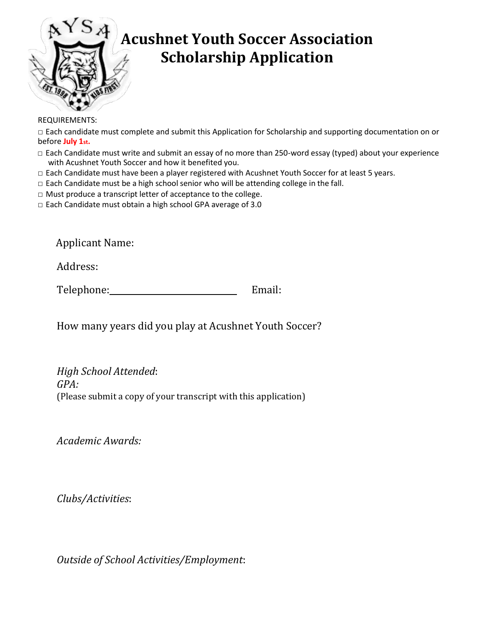

## **Acushnet Youth Soccer Association Scholarship Application**

REQUIREMENTS:

□ Each candidate must complete and submit this Application for Scholarship and supporting documentation on or before **July 1st.**

- □ Each Candidate must write and submit an essay of no more than 250-word essay (typed) about your experience with Acushnet Youth Soccer and how it benefited you.
- □ Each Candidate must have been a player registered with Acushnet Youth Soccer for at least 5 years.
- $\Box$  Each Candidate must be a high school senior who will be attending college in the fall.
- □ Must produce a transcript letter of acceptance to the college.
- □ Each Candidate must obtain a high school GPA average of 3.0

Applicant Name:

Address:

Telephone: Email:

How many years did you play at Acushnet Youth Soccer?

*High School Attended*: *GPA:* (Please submit a copy of your transcript with this application)

*Academic Awards:*

*Clubs/Activities*:

*Outside of School Activities/Employment*: